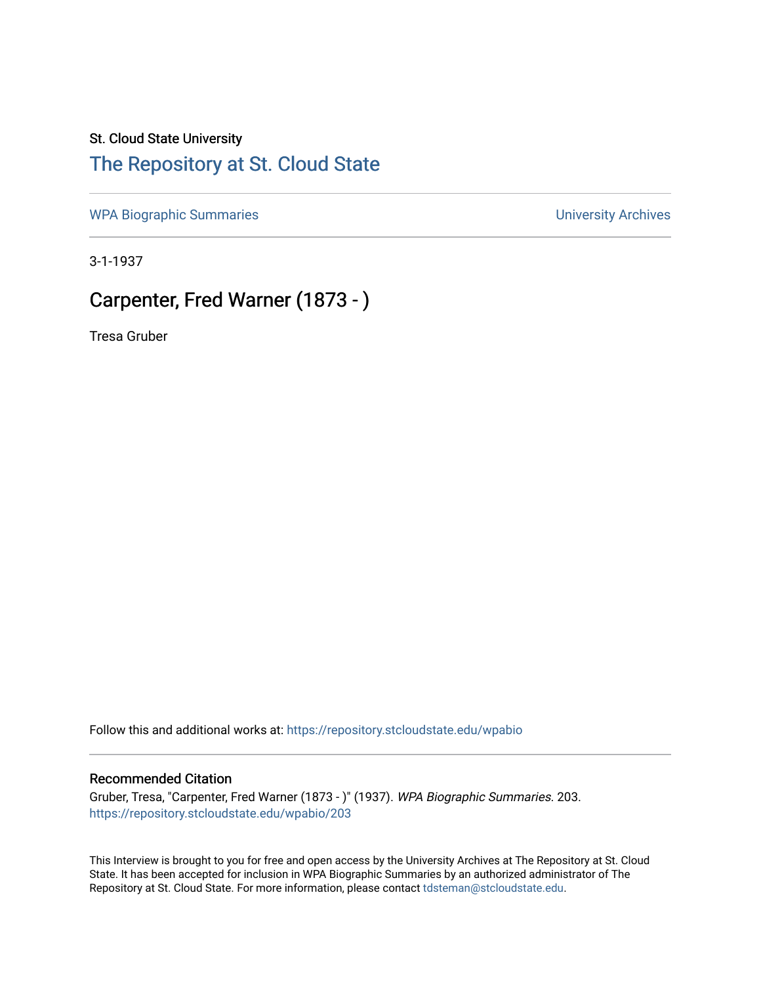## St. Cloud State University

## [The Repository at St. Cloud State](https://repository.stcloudstate.edu/)

[WPA Biographic Summaries](https://repository.stcloudstate.edu/wpabio) **WPA Biographic Summaries University Archives** 

3-1-1937

## Carpenter, Fred Warner (1873 - )

Tresa Gruber

Follow this and additional works at: [https://repository.stcloudstate.edu/wpabio](https://repository.stcloudstate.edu/wpabio?utm_source=repository.stcloudstate.edu%2Fwpabio%2F203&utm_medium=PDF&utm_campaign=PDFCoverPages) 

## Recommended Citation

Gruber, Tresa, "Carpenter, Fred Warner (1873 - )" (1937). WPA Biographic Summaries. 203. [https://repository.stcloudstate.edu/wpabio/203](https://repository.stcloudstate.edu/wpabio/203?utm_source=repository.stcloudstate.edu%2Fwpabio%2F203&utm_medium=PDF&utm_campaign=PDFCoverPages) 

This Interview is brought to you for free and open access by the University Archives at The Repository at St. Cloud State. It has been accepted for inclusion in WPA Biographic Summaries by an authorized administrator of The Repository at St. Cloud State. For more information, please contact [tdsteman@stcloudstate.edu.](mailto:tdsteman@stcloudstate.edu)